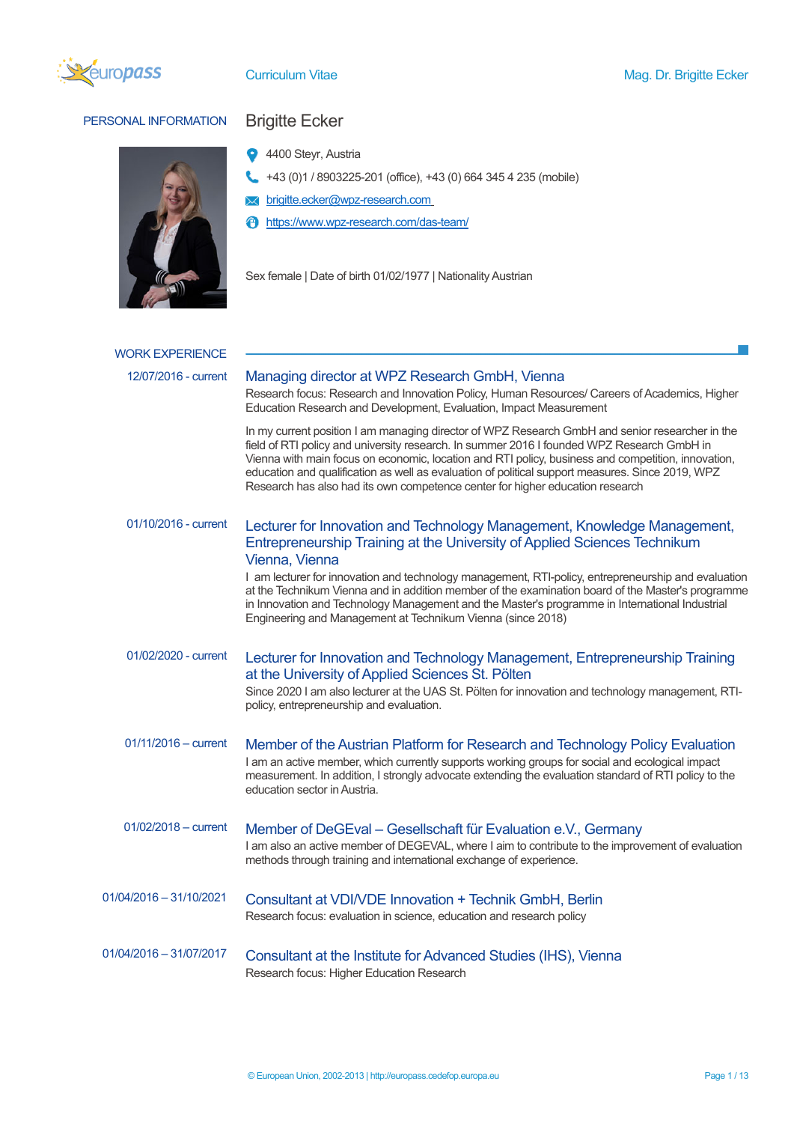

# PERSONAL INFORMATION Brigitte Ecker



- <sup>4</sup> 4400 Steyr, Austria
- +43 (0)1 / 8903225-201 (office), +43 (0) 664 345 4 235 (mobile)
- **X** brigitte.ecker@wpz-research.com
- https://www.wpz-research.com/das-team/

Sex female | Date of birth 01/02/1977 | Nationality Austrian

| <b>WORK EXPERIENCE</b>  |                                                                                                                                                                                                                                                                                                                                                                                                                                                                                          |
|-------------------------|------------------------------------------------------------------------------------------------------------------------------------------------------------------------------------------------------------------------------------------------------------------------------------------------------------------------------------------------------------------------------------------------------------------------------------------------------------------------------------------|
| 12/07/2016 - current    | Managing director at WPZ Research GmbH, Vienna<br>Research focus: Research and Innovation Policy, Human Resources/ Careers of Academics, Higher<br>Education Research and Development, Evaluation, Impact Measurement                                                                                                                                                                                                                                                                    |
|                         | In my current position I am managing director of WPZ Research GmbH and senior researcher in the<br>field of RTI policy and university research. In summer 2016 I founded WPZ Research GmbH in<br>Vienna with main focus on economic, location and RTI policy, business and competition, innovation,<br>education and qualification as well as evaluation of political support measures. Since 2019, WPZ<br>Research has also had its own competence center for higher education research |
| 01/10/2016 - current    | Lecturer for Innovation and Technology Management, Knowledge Management,<br>Entrepreneurship Training at the University of Applied Sciences Technikum<br>Vienna, Vienna                                                                                                                                                                                                                                                                                                                  |
|                         | I am lecturer for innovation and technology management, RTI-policy, entrepreneurship and evaluation<br>at the Technikum Vienna and in addition member of the examination board of the Master's programme<br>in Innovation and Technology Management and the Master's programme in International Industrial<br>Engineering and Management at Technikum Vienna (since 2018)                                                                                                                |
| 01/02/2020 - current    | Lecturer for Innovation and Technology Management, Entrepreneurship Training<br>at the University of Applied Sciences St. Pölten<br>Since 2020 I am also lecturer at the UAS St. Pölten for innovation and technology management, RTI-<br>policy, entrepreneurship and evaluation.                                                                                                                                                                                                       |
| $01/11/2016 - current$  | Member of the Austrian Platform for Research and Technology Policy Evaluation<br>I am an active member, which currently supports working groups for social and ecological impact<br>measurement. In addition, I strongly advocate extending the evaluation standard of RTI policy to the<br>education sector in Austria.                                                                                                                                                                 |
| 01/02/2018 - current    | Member of DeGEval – Gesellschaft für Evaluation e.V., Germany<br>I am also an active member of DEGEVAL, where I aim to contribute to the improvement of evaluation<br>methods through training and international exchange of experience.                                                                                                                                                                                                                                                 |
| 01/04/2016 - 31/10/2021 | Consultant at VDI/VDE Innovation + Technik GmbH, Berlin<br>Research focus: evaluation in science, education and research policy                                                                                                                                                                                                                                                                                                                                                          |
| 01/04/2016 - 31/07/2017 | Consultant at the Institute for Advanced Studies (IHS), Vienna<br>Research focus: Higher Education Research                                                                                                                                                                                                                                                                                                                                                                              |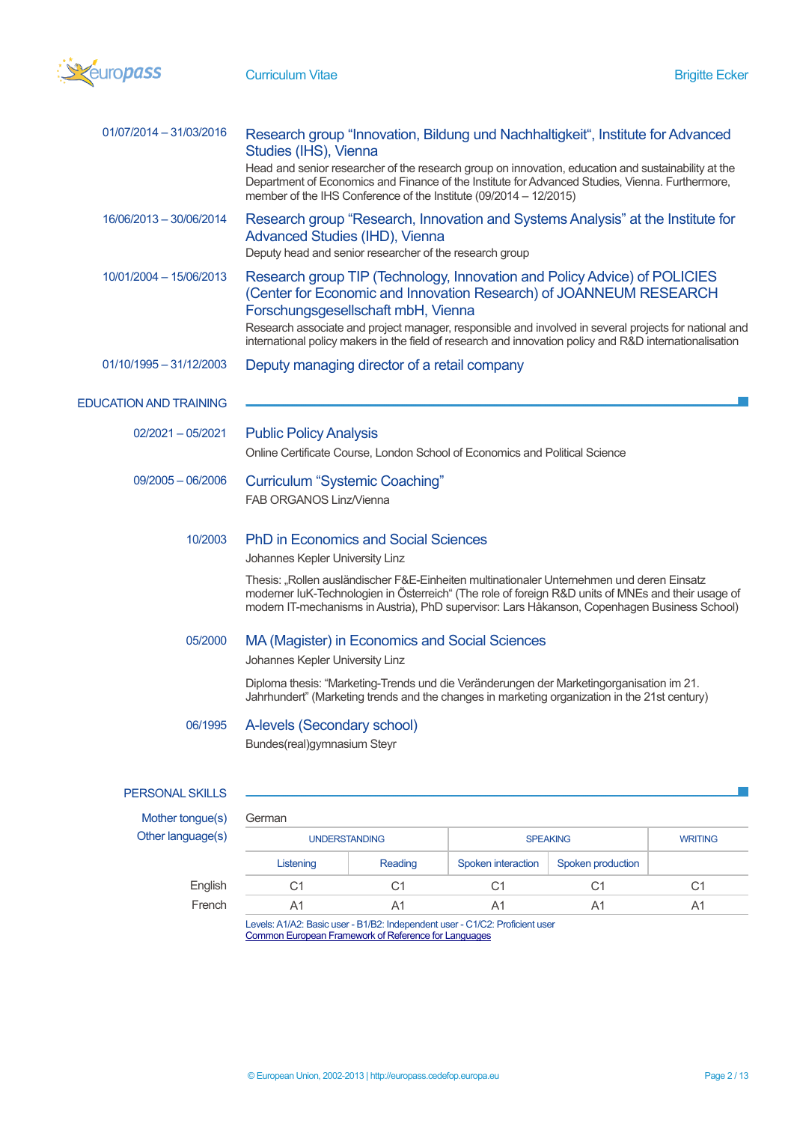

| 01/07/2014 - 31/03/2016       | Research group "Innovation, Bildung und Nachhaltigkeit", Institute for Advanced<br>Studies (IHS), Vienna<br>Head and senior researcher of the research group on innovation, education and sustainability at the<br>Department of Economics and Finance of the Institute for Advanced Studies, Vienna. Furthermore,<br>member of the IHS Conference of the Institute (09/2014 - 12/2015)                   |                 |                |
|-------------------------------|-----------------------------------------------------------------------------------------------------------------------------------------------------------------------------------------------------------------------------------------------------------------------------------------------------------------------------------------------------------------------------------------------------------|-----------------|----------------|
| 16/06/2013 - 30/06/2014       | Research group "Research, Innovation and Systems Analysis" at the Institute for<br>Advanced Studies (IHD), Vienna<br>Deputy head and senior researcher of the research group                                                                                                                                                                                                                              |                 |                |
| 10/01/2004 - 15/06/2013       | Research group TIP (Technology, Innovation and Policy Advice) of POLICIES<br>(Center for Economic and Innovation Research) of JOANNEUM RESEARCH<br>Forschungsgesellschaft mbH, Vienna<br>Research associate and project manager, responsible and involved in several projects for national and<br>international policy makers in the field of research and innovation policy and R&D internationalisation |                 |                |
| $01/10/1995 - 31/12/2003$     | Deputy managing director of a retail company                                                                                                                                                                                                                                                                                                                                                              |                 |                |
| <b>EDUCATION AND TRAINING</b> |                                                                                                                                                                                                                                                                                                                                                                                                           |                 |                |
| $02/2021 - 05/2021$           | <b>Public Policy Analysis</b><br>Online Certificate Course, London School of Economics and Political Science                                                                                                                                                                                                                                                                                              |                 |                |
| $09/2005 - 06/2006$           | <b>Curriculum "Systemic Coaching"</b><br>FAB ORGANOS Linz/Vienna                                                                                                                                                                                                                                                                                                                                          |                 |                |
| 10/2003                       | <b>PhD in Economics and Social Sciences</b><br>Johannes Kepler University Linz                                                                                                                                                                                                                                                                                                                            |                 |                |
|                               | Thesis: "Rollen ausländischer F&E-Einheiten multinationaler Unternehmen und deren Einsatz<br>moderner luK-Technologien in Österreich" (The role of foreign R&D units of MNEs and their usage of<br>modern IT-mechanisms in Austria), PhD supervisor: Lars Håkanson, Copenhagen Business School)                                                                                                           |                 |                |
| 05/2000                       | MA (Magister) in Economics and Social Sciences<br>Johannes Kepler University Linz                                                                                                                                                                                                                                                                                                                         |                 |                |
|                               | Diploma thesis: "Marketing-Trends und die Veränderungen der Marketingorganisation im 21.<br>Jahrhundert" (Marketing trends and the changes in marketing organization in the 21st century)                                                                                                                                                                                                                 |                 |                |
| 06/1995                       | A-levels (Secondary school)<br>Bundes(real)gymnasium Steyr                                                                                                                                                                                                                                                                                                                                                |                 |                |
| <b>PERSONAL SKILLS</b>        |                                                                                                                                                                                                                                                                                                                                                                                                           |                 |                |
| Mother tongue(s)              | German                                                                                                                                                                                                                                                                                                                                                                                                    |                 |                |
| Other language(s)             | <b>UNDERSTANDING</b>                                                                                                                                                                                                                                                                                                                                                                                      | <b>SPEAKING</b> | <b>WRITING</b> |

| uage(s) | <b>UNDERSTANDING</b> |         | <b>SPEAKING</b>    |                   | <b>WRITING</b> |
|---------|----------------------|---------|--------------------|-------------------|----------------|
|         | Listening            | Reading | Spoken interaction | Spoken production |                |
| English |                      |         | C                  |                   | C1             |
| French  |                      |         |                    |                   | Α1             |
|         |                      |         |                    |                   |                |

Levels: A1/A2: Basic user - B1/B2: Independent user - C1/C2: Proficient user Common European Framework of Reference for Languages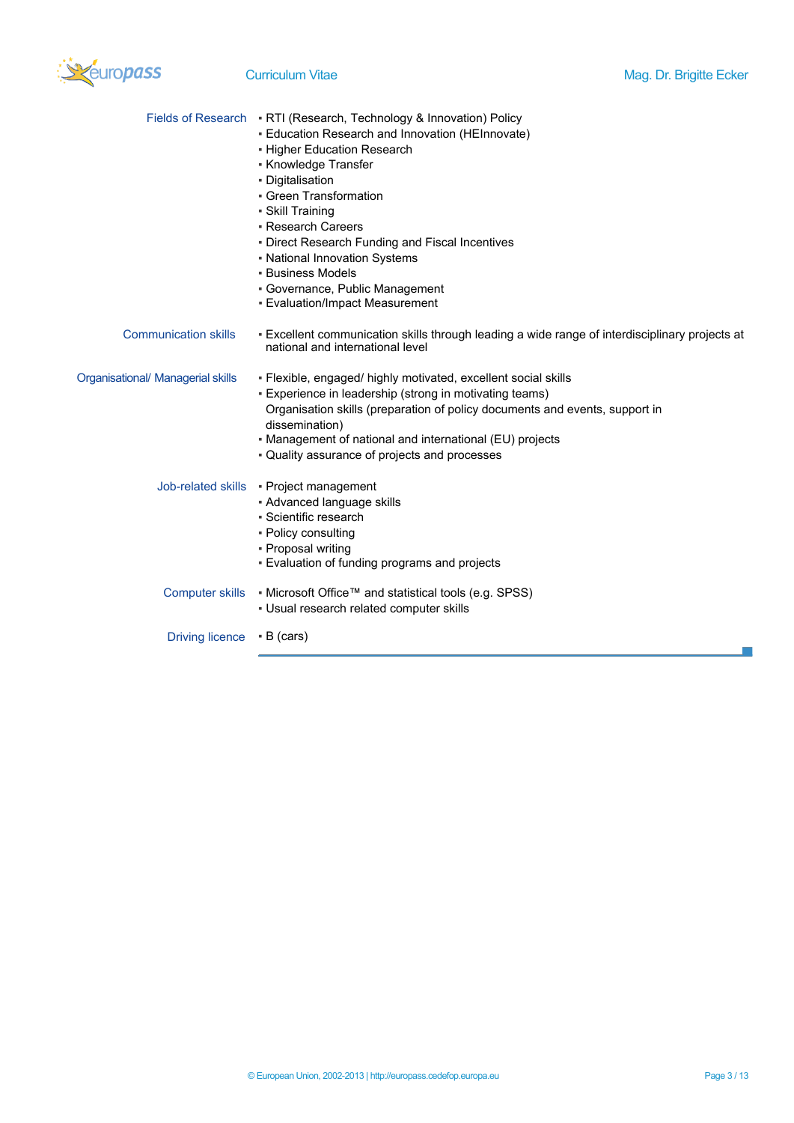

|                                   | Fields of Research • RTI (Research, Technology & Innovation) Policy<br>- Education Research and Innovation (HEInnovate)<br>- Higher Education Research<br>• Knowledge Transfer<br>• Digitalisation<br>• Green Transformation<br>· Skill Training<br>• Research Careers<br>. Direct Research Funding and Fiscal Incentives<br>• National Innovation Systems<br><b>- Business Models</b><br>• Governance, Public Management<br>• Evaluation/Impact Measurement |
|-----------------------------------|--------------------------------------------------------------------------------------------------------------------------------------------------------------------------------------------------------------------------------------------------------------------------------------------------------------------------------------------------------------------------------------------------------------------------------------------------------------|
| <b>Communication skills</b>       | - Excellent communication skills through leading a wide range of interdisciplinary projects at<br>national and international level                                                                                                                                                                                                                                                                                                                           |
| Organisational/ Managerial skills | · Flexible, engaged/ highly motivated, excellent social skills<br>- Experience in leadership (strong in motivating teams)<br>Organisation skills (preparation of policy documents and events, support in<br>dissemination)<br>• Management of national and international (EU) projects<br>. Quality assurance of projects and processes                                                                                                                      |
|                                   | Job-related skills • Project management<br>- Advanced language skills<br>• Scientific research<br>• Policy consulting<br>• Proposal writing<br>- Evaluation of funding programs and projects                                                                                                                                                                                                                                                                 |
| Computer skills                   | ■ Microsoft Office™ and statistical tools (e.g. SPSS)<br>• Usual research related computer skills                                                                                                                                                                                                                                                                                                                                                            |

Driving licence **• B (cars)** 

m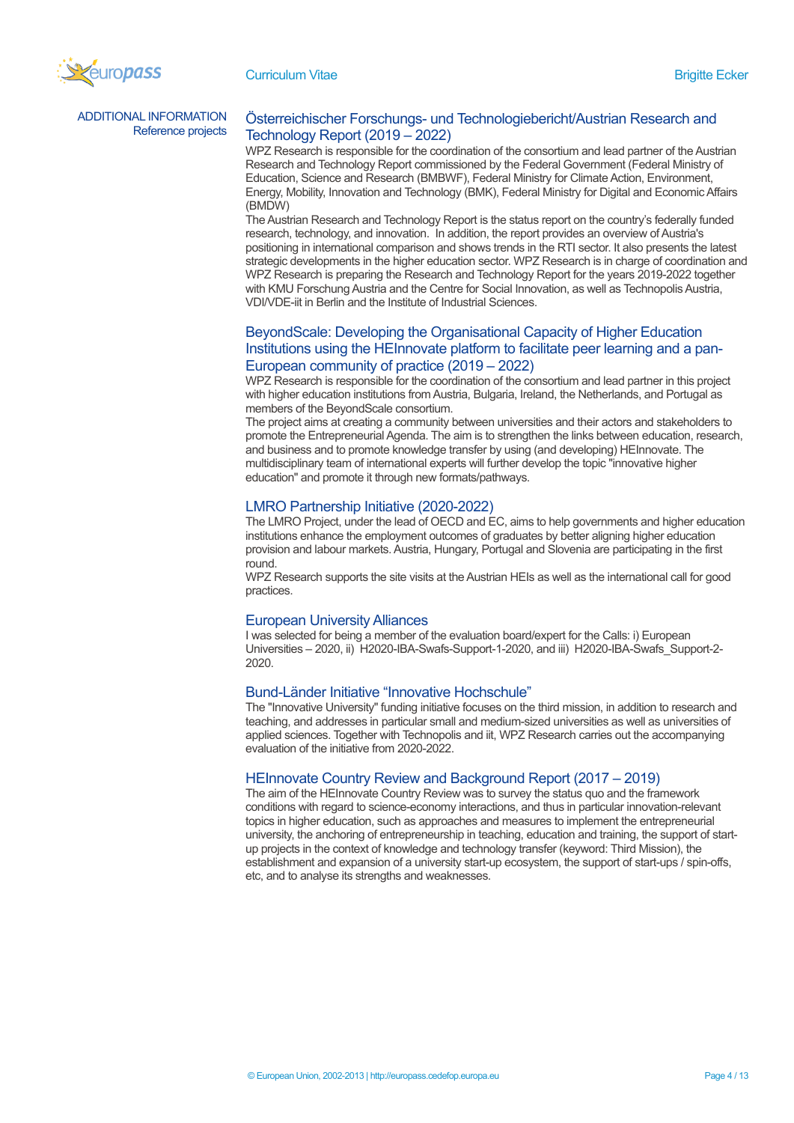

ADDITIONAL INFORMATION

# AL INFORMATION Österreichischer Forschungs- und Technologiebericht/Austrian Research and<br>Reference projects Technology Boport (2019, 2022) Technology Report (2019 – 2022)

WPZ Research is responsible for the coordination of the consortium and lead partner of the Austrian Research and Technology Report commissioned by the Federal Government (Federal Ministry of Education, Science and Research (BMBWF), Federal Ministry for Climate Action, Environment, Energy, Mobility, Innovation and Technology (BMK), Federal Ministry for Digital and Economic Affairs (BMDW)

The Austrian Research and Technology Report is the status report on the country's federally funded research, technology, and innovation. In addition, the report provides an overview of Austria's positioning in international comparison and shows trends in the RTI sector. It also presents the latest strategic developments in the higher education sector. WPZ Research is in charge of coordination and WPZ Research is preparing the Research and Technology Report for the years 2019-2022 together with KMU Forschung Austria and the Centre for Social Innovation, as well as Technopolis Austria, VDI/VDE-iit in Berlin and the Institute of Industrial Sciences.

# BeyondScale: Developing the Organisational Capacity of Higher Education Institutions using the HEInnovate platform to facilitate peer learning and a pan-European community of practice (2019 – 2022)

WPZ Research is responsible for the coordination of the consortium and lead partner in this project with higher education institutions from Austria, Bulgaria, Ireland, the Netherlands, and Portugal as members of the BeyondScale consortium.

The project aims at creating a community between universities and their actors and stakeholders to promote the Entrepreneurial Agenda. The aim is to strengthen the links between education, research, and business and to promote knowledge transfer by using (and developing) HEInnovate. The multidisciplinary team of international experts will further develop the topic "innovative higher education" and promote it through new formats/pathways.

# LMRO Partnership Initiative (2020-2022)

The LMRO Project, under the lead of OECD and EC, aims to help governments and higher education institutions enhance the employment outcomes of graduates by better aligning higher education provision and labour markets. Austria, Hungary, Portugal and Slovenia are participating in the first round.

WPZ Research supports the site visits at the Austrian HEIs as well as the international call for good practices.

# European University Alliances

I was selected for being a member of the evaluation board/expert for the Calls: i) European Universities – 2020, ii) H2020-IBA-Swafs-Support-1-2020, and iii) H2020-IBA-Swafs\_Support-2- 2020.

# Bund-Länder Initiative "Innovative Hochschule"

The "Innovative University" funding initiative focuses on the third mission, in addition to research and teaching, and addresses in particular small and medium-sized universities as well as universities of applied sciences. Together with Technopolis and iit, WPZ Research carries out the accompanying evaluation of the initiative from 2020-2022.

# HEInnovate Country Review and Background Report (2017 – 2019)

The aim of the HEInnovate Country Review was to survey the status quo and the framework conditions with regard to science-economy interactions, and thus in particular innovation-relevant topics in higher education, such as approaches and measures to implement the entrepreneurial university, the anchoring of entrepreneurship in teaching, education and training, the support of startup projects in the context of knowledge and technology transfer (keyword: Third Mission), the establishment and expansion of a university start-up ecosystem, the support of start-ups / spin-offs, etc, and to analyse its strengths and weaknesses.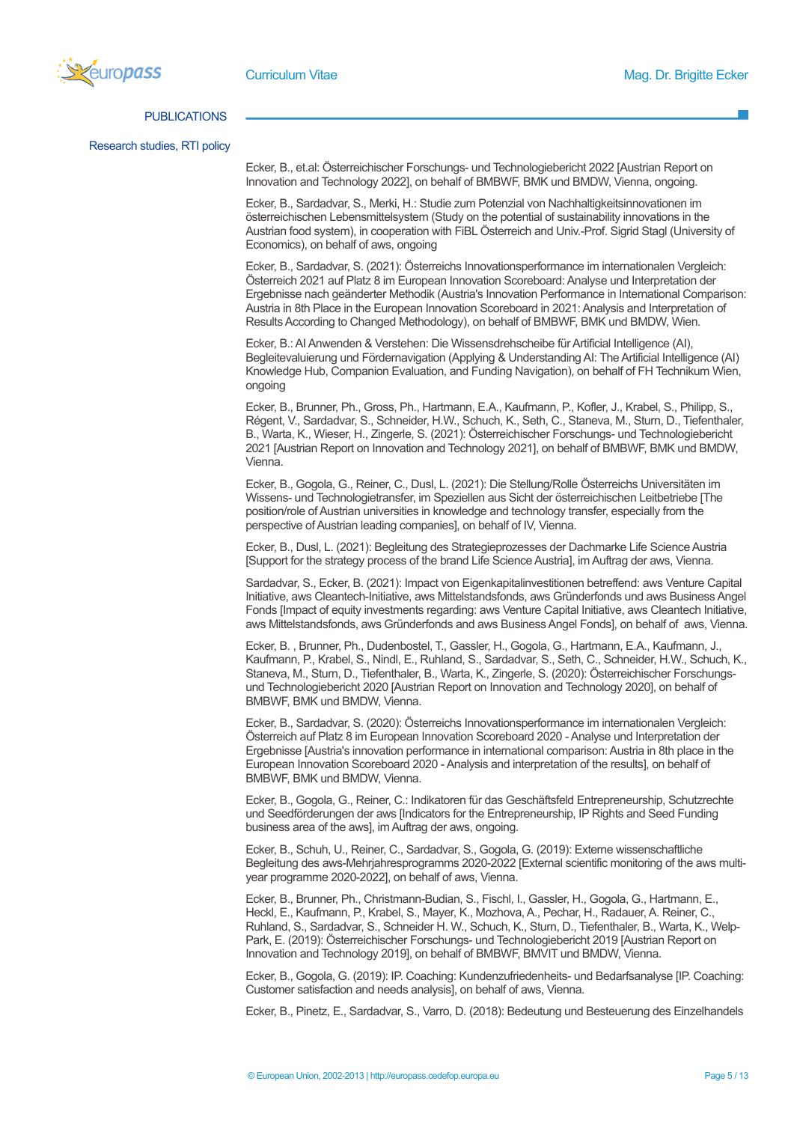

### PUBLICATIONS

Research studies, RTI policy

Ecker, B., et.al: Österreichischer Forschungs- und Technologiebericht 2022 [Austrian Report on Innovation and Technology 2022], on behalf of BMBWF, BMK und BMDW, Vienna, ongoing.

Ecker, B., Sardadvar, S., Merki, H.: Studie zum Potenzial von Nachhaltigkeitsinnovationen im österreichischen Lebensmittelsystem (Study on the potential of sustainability innovations in the Austrian food system), in cooperation with FiBL Österreich and Univ.-Prof. Sigrid Stagl (University of Economics), on behalf of aws, ongoing

Ecker, B., Sardadvar, S. (2021): Österreichs Innovationsperformance im internationalen Vergleich: Österreich 2021 auf Platz 8 im European Innovation Scoreboard: Analyse und Interpretation der Ergebnisse nach geänderter Methodik (Austria's Innovation Performance in International Comparison: Austria in 8th Place in the European Innovation Scoreboard in 2021: Analysis and Interpretation of Results According to Changed Methodology), on behalf of BMBWF, BMK und BMDW, Wien.

Ecker, B.: AI Anwenden & Verstehen: Die Wissensdrehscheibe für Artificial Intelligence (AI), Begleitevaluierung und Fördernavigation (Applying & Understanding AI: The Artificial Intelligence (AI) Knowledge Hub, Companion Evaluation, and Funding Navigation), on behalf of FH Technikum Wien, ongoing

Ecker, B., Brunner, Ph., Gross, Ph., Hartmann, E.A., Kaufmann, P., Kofler, J., Krabel, S., Philipp, S., Régent, V., Sardadvar, S., Schneider, H.W., Schuch, K., Seth, C., Staneva, M., Sturn, D., Tiefenthaler, B., Warta, K., Wieser, H., Zingerle, S. (2021): Österreichischer Forschungs- und Technologiebericht 2021 [Austrian Report on Innovation and Technology 2021], on behalf of BMBWF, BMK und BMDW, Vienna.

Ecker, B., Gogola, G., Reiner, C., Dusl, L. (2021): Die Stellung/Rolle Österreichs Universitäten im Wissens- und Technologietransfer, im Speziellen aus Sicht der österreichischen Leitbetriebe [The position/role of Austrian universities in knowledge and technology transfer, especially from the perspective of Austrian leading companies], on behalf of IV, Vienna.

Ecker, B., Dusl, L. (2021): Begleitung des Strategieprozesses der Dachmarke Life Science Austria [Support for the strategy process of the brand Life Science Austria], im Auftrag der aws, Vienna.

Sardadvar, S., Ecker, B. (2021): Impact von Eigenkapitalinvestitionen betreffend: aws Venture Capital Initiative, aws Cleantech-Initiative, aws Mittelstandsfonds, aws Gründerfonds und aws Business Angel Fonds [Impact of equity investments regarding: aws Venture Capital Initiative, aws Cleantech Initiative, aws Mittelstandsfonds, aws Gründerfonds and aws Business Angel Fonds], on behalf of aws, Vienna.

Ecker, B. , Brunner, Ph., Dudenbostel, T., Gassler, H., Gogola, G., Hartmann, E.A., Kaufmann, J., Kaufmann, P., Krabel, S., Nindl, E., Ruhland, S., Sardadvar, S., Seth, C., Schneider, H.W., Schuch, K., Staneva, M., Sturn, D., Tiefenthaler, B., Warta, K., Zingerle, S. (2020): Österreichischer Forschungsund Technologiebericht 2020 [Austrian Report on Innovation and Technology 2020], on behalf of BMBWF, BMK und BMDW, Vienna.

Ecker, B., Sardadvar, S. (2020): Österreichs Innovationsperformance im internationalen Vergleich: Österreich auf Platz 8 im European Innovation Scoreboard 2020 - Analyse und Interpretation der Ergebnisse [Austria's innovation performance in international comparison: Austria in 8th place in the European Innovation Scoreboard 2020 - Analysis and interpretation of the results], on behalf of BMBWF, BMK und BMDW, Vienna.

Ecker, B., Gogola, G., Reiner, C.: Indikatoren für das Geschäftsfeld Entrepreneurship, Schutzrechte und Seedförderungen der aws [Indicators for the Entrepreneurship, IP Rights and Seed Funding business area of the aws], im Auftrag der aws, ongoing.

Ecker, B., Schuh, U., Reiner, C., Sardadvar, S., Gogola, G. (2019): Externe wissenschaftliche Begleitung des aws-Mehrjahresprogramms 2020-2022 [External scientific monitoring of the aws multiyear programme 2020-2022], on behalf of aws, Vienna.

Ecker, B., Brunner, Ph., Christmann-Budian, S., Fischl, I., Gassler, H., Gogola, G., Hartmann, E., Heckl, E., Kaufmann, P., Krabel, S., Mayer, K., Mozhova, A., Pechar, H., Radauer, A. Reiner, C., Ruhland, S., Sardadvar, S., Schneider H. W., Schuch, K., Sturn, D., Tiefenthaler, B., Warta, K., Welp-Park, E. (2019): Österreichischer Forschungs- und Technologiebericht 2019 [Austrian Report on Innovation and Technology 2019], on behalf of BMBWF, BMVIT und BMDW, Vienna.

Ecker, B., Gogola, G. (2019): IP. Coaching: Kundenzufriedenheits- und Bedarfsanalyse [IP. Coaching: Customer satisfaction and needs analysis], on behalf of aws, Vienna.

Ecker, B., Pinetz, E., Sardadvar, S., Varro, D. (2018): Bedeutung und Besteuerung des Einzelhandels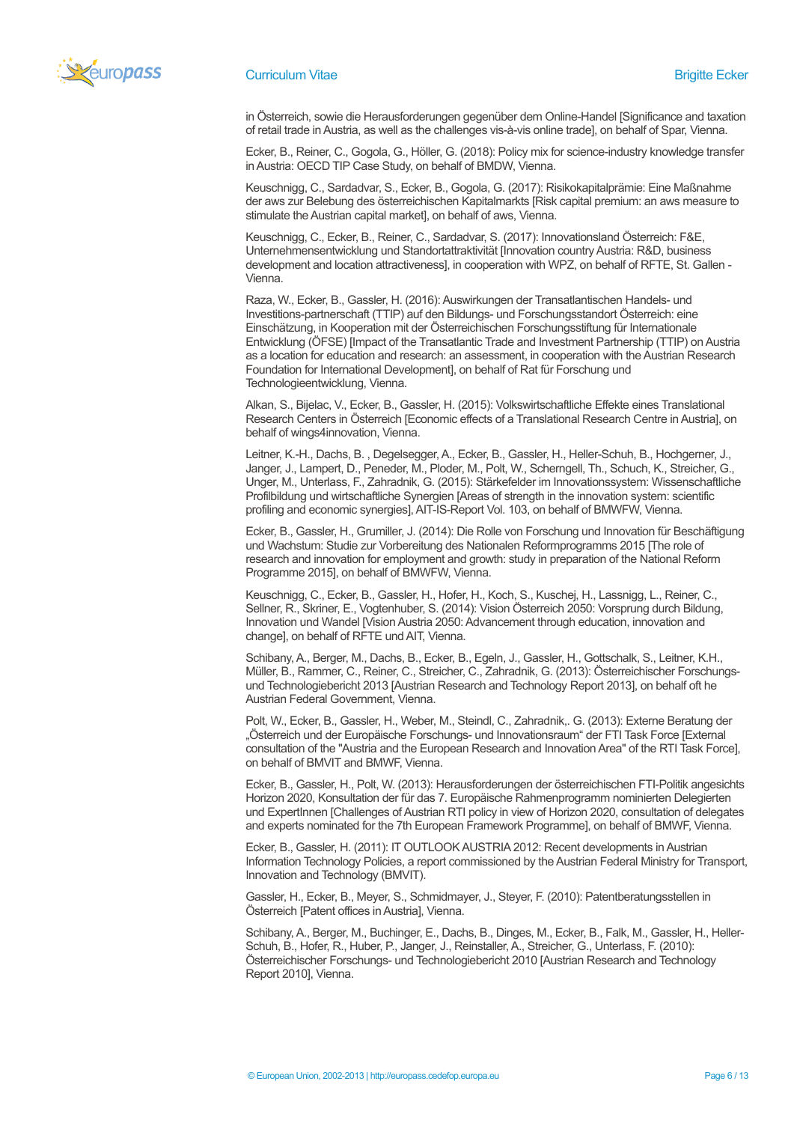

in Österreich, sowie die Herausforderungen gegenüber dem Online-Handel [Significance and taxation of retail trade in Austria, as well as the challenges vis-à-vis online trade], on behalf of Spar, Vienna.

Ecker, B., Reiner, C., Gogola, G., Höller, G. (2018): Policy mix for science-industry knowledge transfer in Austria: OECD TIP Case Study, on behalf of BMDW, Vienna.

Keuschnigg, C., Sardadvar, S., Ecker, B., Gogola, G. (2017): Risikokapitalprämie: Eine Maßnahme der aws zur Belebung des österreichischen Kapitalmarkts [Risk capital premium: an aws measure to stimulate the Austrian capital market], on behalf of aws, Vienna.

Keuschnigg, C., Ecker, B., Reiner, C., Sardadvar, S. (2017): Innovationsland Österreich: F&E, Unternehmensentwicklung und Standortattraktivität [Innovation country Austria: R&D, business development and location attractiveness], in cooperation with WPZ, on behalf of RFTE, St. Gallen - Vienna.

Raza, W., Ecker, B., Gassler, H. (2016): Auswirkungen der Transatlantischen Handels- und Investitions-partnerschaft (TTIP) auf den Bildungs- und Forschungsstandort Österreich: eine Einschätzung, in Kooperation mit der Österreichischen Forschungsstiftung für Internationale Entwicklung (ÖFSE) [Impact of the Transatlantic Trade and Investment Partnership (TTIP) on Austria as a location for education and research: an assessment, in cooperation with the Austrian Research Foundation for International Development], on behalf of Rat für Forschung und Technologieentwicklung, Vienna.

Alkan, S., Bijelac, V., Ecker, B., Gassler, H. (2015): Volkswirtschaftliche Effekte eines Translational Research Centers in Österreich [Economic effects of a Translational Research Centre in Austria], on behalf of wings4innovation, Vienna.

Leitner, K.-H., Dachs, B. , Degelsegger, A., Ecker, B., Gassler, H., Heller-Schuh, B., Hochgerner, J., Janger, J., Lampert, D., Peneder, M., Ploder, M., Polt, W., Scherngell, Th., Schuch, K., Streicher, G., Unger, M., Unterlass, F., Zahradnik, G. (2015): Stärkefelder im Innovationssystem: Wissenschaftliche Profilbildung und wirtschaftliche Synergien [Areas of strength in the innovation system: scientific profiling and economic synergies], AIT-IS-Report Vol. 103, on behalf of BMWFW, Vienna.

Ecker, B., Gassler, H., Grumiller, J. (2014): Die Rolle von Forschung und Innovation für Beschäftigung und Wachstum: Studie zur Vorbereitung des Nationalen Reformprogramms 2015 [The role of research and innovation for employment and growth: study in preparation of the National Reform Programme 2015], on behalf of BMWFW, Vienna.

Keuschnigg, C., Ecker, B., Gassler, H., Hofer, H., Koch, S., Kuschej, H., Lassnigg, L., Reiner, C., Sellner, R., Skriner, E., Vogtenhuber, S. (2014): Vision Österreich 2050: Vorsprung durch Bildung, Innovation und Wandel [Vision Austria 2050: Advancement through education, innovation and change], on behalf of RFTE und AIT, Vienna.

Schibany, A., Berger, M., Dachs, B., Ecker, B., Egeln, J., Gassler, H., Gottschalk, S., Leitner, K.H., Müller, B., Rammer, C., Reiner, C., Streicher, C., Zahradnik, G. (2013): Österreichischer Forschungsund Technologiebericht 2013 [Austrian Research and Technology Report 2013], on behalf oft he Austrian Federal Government, Vienna.

Polt, W., Ecker, B., Gassler, H., Weber, M., Steindl, C., Zahradnik,. G. (2013): Externe Beratung der "Österreich und der Europäische Forschungs- und Innovationsraum" der FTI Task Force [External consultation of the "Austria and the European Research and Innovation Area" of the RTI Task Force], on behalf of BMVIT and BMWF, Vienna.

Ecker, B., Gassler, H., Polt, W. (2013): Herausforderungen der österreichischen FTI-Politik angesichts Horizon 2020, Konsultation der für das 7. Europäische Rahmenprogramm nominierten Delegierten und ExpertInnen [Challenges of Austrian RTI policy in view of Horizon 2020, consultation of delegates and experts nominated for the 7th European Framework Programme], on behalf of BMWF, Vienna.

Ecker, B., Gassler, H. (2011): IT OUTLOOK AUSTRIA 2012: Recent developments in Austrian Information Technology Policies, a report commissioned by the Austrian Federal Ministry for Transport, Innovation and Technology (BMVIT).

Gassler, H., Ecker, B., Meyer, S., Schmidmayer, J., Steyer, F. (2010): Patentberatungsstellen in Österreich [Patent offices in Austria], Vienna.

Schibany, A., Berger, M., Buchinger, E., Dachs, B., Dinges, M., Ecker, B., Falk, M., Gassler, H., Heller-Schuh, B., Hofer, R., Huber, P., Janger, J., Reinstaller, A., Streicher, G., Unterlass, F. (2010): Österreichischer Forschungs- und Technologiebericht 2010 [Austrian Research and Technology Report 2010], Vienna.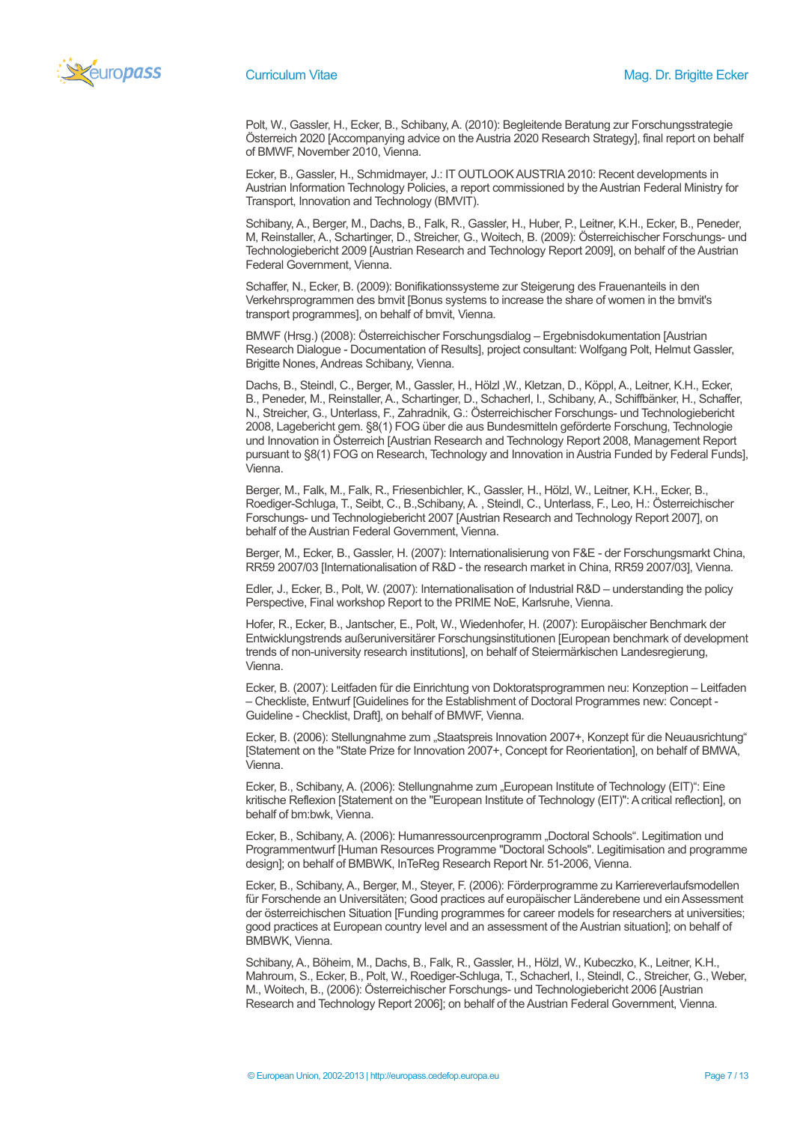

Polt, W., Gassler, H., Ecker, B., Schibany, A. (2010): Begleitende Beratung zur Forschungsstrategie Österreich 2020 [Accompanying advice on the Austria 2020 Research Strategy], final report on behalf of BMWF, November 2010, Vienna.

Ecker, B., Gassler, H., Schmidmayer, J.: IT OUTLOOK AUSTRIA 2010: Recent developments in Austrian Information Technology Policies, a report commissioned by the Austrian Federal Ministry for Transport, Innovation and Technology (BMVIT).

Schibany, A., Berger, M., Dachs, B., Falk, R., Gassler, H., Huber, P., Leitner, K.H., Ecker, B., Peneder, M, Reinstaller, A., Schartinger, D., Streicher, G., Woitech, B. (2009): Österreichischer Forschungs- und Technologiebericht 2009 [Austrian Research and Technology Report 2009], on behalf of the Austrian Federal Government, Vienna.

Schaffer, N., Ecker, B. (2009): Bonifikationssysteme zur Steigerung des Frauenanteils in den Verkehrsprogrammen des bmvit [Bonus systems to increase the share of women in the bmvit's transport programmes], on behalf of bmvit, Vienna.

BMWF (Hrsg.) (2008): Österreichischer Forschungsdialog – Ergebnisdokumentation [Austrian Research Dialogue - Documentation of Results], project consultant: Wolfgang Polt, Helmut Gassler, Brigitte Nones, Andreas Schibany, Vienna.

Dachs, B., Steindl, C., Berger, M., Gassler, H., Hölzl ,W., Kletzan, D., Köppl, A., Leitner, K.H., Ecker, B., Peneder, M., Reinstaller, A., Schartinger, D., Schacherl, I., Schibany, A., Schiffbänker, H., Schaffer, N., Streicher, G., Unterlass, F., Zahradnik, G.: Österreichischer Forschungs- und Technologiebericht 2008, Lagebericht gem. §8(1) FOG über die aus Bundesmitteln geförderte Forschung, Technologie und Innovation in Österreich [Austrian Research and Technology Report 2008, Management Report pursuant to §8(1) FOG on Research, Technology and Innovation in Austria Funded by Federal Funds], Vienna.

Berger, M., Falk, M., Falk, R., Friesenbichler, K., Gassler, H., Hölzl, W., Leitner, K.H., Ecker, B., Roediger-Schluga, T., Seibt, C., B.,Schibany, A. , Steindl, C., Unterlass, F., Leo, H.: Österreichischer Forschungs- und Technologiebericht 2007 [Austrian Research and Technology Report 2007], on behalf of the Austrian Federal Government, Vienna.

Berger, M., Ecker, B., Gassler, H. (2007): Internationalisierung von F&E - der Forschungsmarkt China, RR59 2007/03 [Internationalisation of R&D - the research market in China, RR59 2007/03], Vienna.

Edler, J., Ecker, B., Polt, W. (2007): Internationalisation of Industrial R&D – understanding the policy Perspective, Final workshop Report to the PRIME NoE, Karlsruhe, Vienna.

Hofer, R., Ecker, B., Jantscher, E., Polt, W., Wiedenhofer, H. (2007): Europäischer Benchmark der Entwicklungstrends außeruniversitärer Forschungsinstitutionen [European benchmark of development trends of non-university research institutions], on behalf of Steiermärkischen Landesregierung, Vienna.

Ecker, B. (2007): Leitfaden für die Einrichtung von Doktoratsprogrammen neu: Konzeption – Leitfaden – Checkliste, Entwurf [Guidelines for the Establishment of Doctoral Programmes new: Concept - Guideline - Checklist, Draft], on behalf of BMWF, Vienna.

Ecker, B. (2006): Stellungnahme zum "Staatspreis Innovation 2007+, Konzept für die Neuausrichtung" [Statement on the "State Prize for Innovation 2007+, Concept for Reorientation], on behalf of BMWA, Vienna.

Ecker, B., Schibany, A. (2006): Stellungnahme zum "European Institute of Technology (EIT)": Eine kritische Reflexion [Statement on the "European Institute of Technology (EIT)": A critical reflection], on behalf of bm:bwk, Vienna.

Ecker, B., Schibany, A. (2006): Humanressourcenprogramm "Doctoral Schools". Legitimation und Programmentwurf [Human Resources Programme "Doctoral Schools". Legitimisation and programme design]; on behalf of BMBWK, InTeReg Research Report Nr. 51-2006, Vienna.

Ecker, B., Schibany, A., Berger, M., Steyer, F. (2006): Förderprogramme zu Karriereverlaufsmodellen für Forschende an Universitäten; Good practices auf europäischer Länderebene und ein Assessment der österreichischen Situation [Funding programmes for career models for researchers at universities; good practices at European country level and an assessment of the Austrian situation]; on behalf of BMBWK, Vienna.

Schibany, A., Böheim, M., Dachs, B., Falk, R., Gassler, H., Hölzl, W., Kubeczko, K., Leitner, K.H., Mahroum, S., Ecker, B., Polt, W., Roediger-Schluga, T., Schacherl, I., Steindl, C., Streicher, G., Weber, M., Woitech, B., (2006): Österreichischer Forschungs- und Technologiebericht 2006 [Austrian Research and Technology Report 2006]; on behalf of the Austrian Federal Government, Vienna.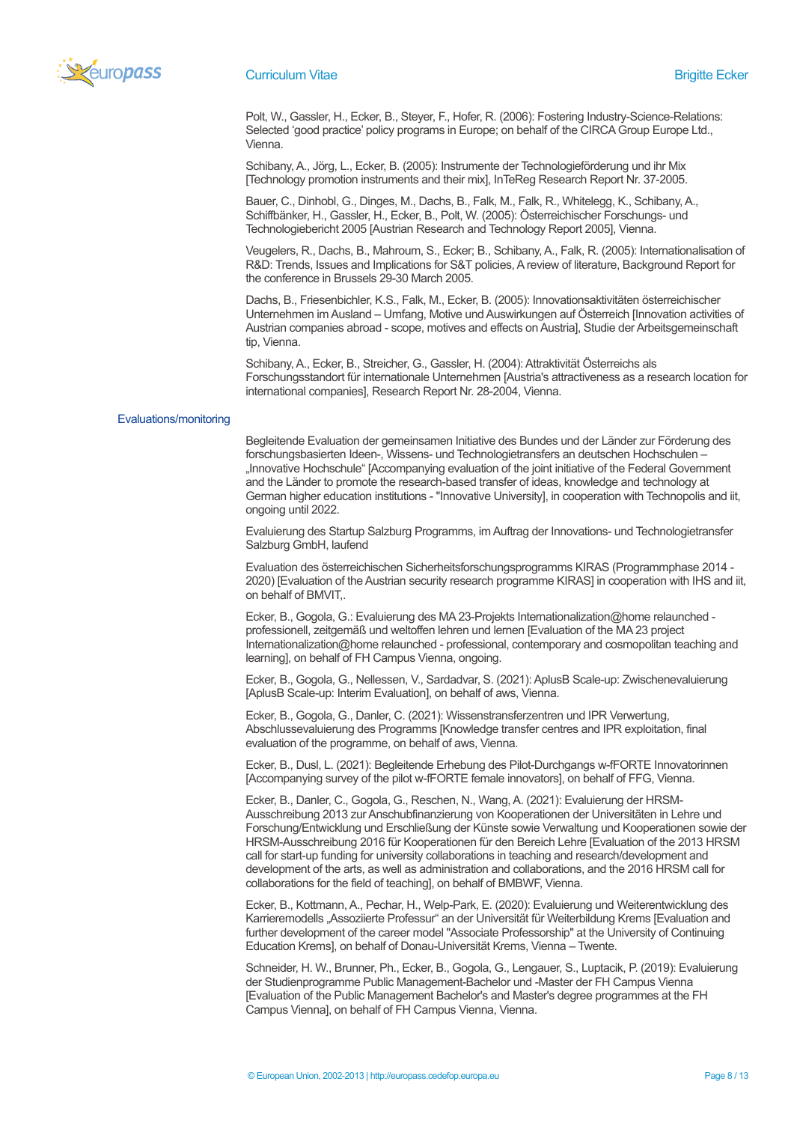

Polt, W., Gassler, H., Ecker, B., Steyer, F., Hofer, R. (2006): Fostering Industry-Science-Relations: Selected 'good practice' policy programs in Europe; on behalf of the CIRCA Group Europe Ltd., Vienna.

Schibany, A., Jörg, L., Ecker, B. (2005): Instrumente der Technologieförderung und ihr Mix [Technology promotion instruments and their mix], InTeReg Research Report Nr. 37-2005.

Bauer, C., Dinhobl, G., Dinges, M., Dachs, B., Falk, M., Falk, R., Whitelegg, K., Schibany, A., Schiffbänker, H., Gassler, H., Ecker, B., Polt, W. (2005): Österreichischer Forschungs- und Technologiebericht 2005 [Austrian Research and Technology Report 2005], Vienna.

Veugelers, R., Dachs, B., Mahroum, S., Ecker; B., Schibany, A., Falk, R. (2005): Internationalisation of R&D: Trends, Issues and Implications for S&T policies, A review of literature, Background Report for the conference in Brussels 29-30 March 2005.

Dachs, B., Friesenbichler, K.S., Falk, M., Ecker, B. (2005): Innovationsaktivitäten österreichischer Unternehmen im Ausland – Umfang, Motive und Auswirkungen auf Österreich [Innovation activities of Austrian companies abroad - scope, motives and effects on Austria], Studie der Arbeitsgemeinschaft tip, Vienna.

Schibany, A., Ecker, B., Streicher, G., Gassler, H. (2004): Attraktivität Österreichs als Forschungsstandort für internationale Unternehmen [Austria's attractiveness as a research location for international companies], Research Report Nr. 28-2004, Vienna.

### Evaluations/monitoring

Begleitende Evaluation der gemeinsamen Initiative des Bundes und der Länder zur Förderung des forschungsbasierten Ideen-, Wissens- und Technologietransfers an deutschen Hochschulen – "Innovative Hochschule" [Accompanying evaluation of the joint initiative of the Federal Government and the Länder to promote the research-based transfer of ideas, knowledge and technology at German higher education institutions - "Innovative University], in cooperation with Technopolis and iit, ongoing until 2022.

Evaluierung des Startup Salzburg Programms, im Auftrag der Innovations- und Technologietransfer Salzburg GmbH, laufend

Evaluation des österreichischen Sicherheitsforschungsprogramms KIRAS (Programmphase 2014 - 2020) [Evaluation of the Austrian security research programme KIRAS] in cooperation with IHS and iit, on behalf of BMVIT,.

Ecker, B., Gogola, G.: Evaluierung des MA 23-Projekts Internationalization@home relaunched professionell, zeitgemäß und weltoffen lehren und lernen [Evaluation of the MA 23 project Internationalization@home relaunched - professional, contemporary and cosmopolitan teaching and learning], on behalf of FH Campus Vienna, ongoing.

Ecker, B., Gogola, G., Nellessen, V., Sardadvar, S. (2021): AplusB Scale-up: Zwischenevaluierung [AplusB Scale-up: Interim Evaluation], on behalf of aws, Vienna.

Ecker, B., Gogola, G., Danler, C. (2021): Wissenstransferzentren und IPR Verwertung, Abschlussevaluierung des Programms [Knowledge transfer centres and IPR exploitation, final evaluation of the programme, on behalf of aws, Vienna.

Ecker, B., Dusl, L. (2021): Begleitende Erhebung des Pilot-Durchgangs w-fFORTE Innovatorinnen [Accompanying survey of the pilot w-fFORTE female innovators], on behalf of FFG, Vienna.

Ecker, B., Danler, C., Gogola, G., Reschen, N., Wang, A. (2021): Evaluierung der HRSM-Ausschreibung 2013 zur Anschubfinanzierung von Kooperationen der Universitäten in Lehre und Forschung/Entwicklung und Erschließung der Künste sowie Verwaltung und Kooperationen sowie der HRSM-Ausschreibung 2016 für Kooperationen für den Bereich Lehre [Evaluation of the 2013 HRSM call for start-up funding for university collaborations in teaching and research/development and development of the arts, as well as administration and collaborations, and the 2016 HRSM call for collaborations for the field of teaching], on behalf of BMBWF, Vienna.

Ecker, B., Kottmann, A., Pechar, H., Welp-Park, E. (2020): Evaluierung und Weiterentwicklung des Karrieremodells "Assoziierte Professur" an der Universität für Weiterbildung Krems [Evaluation and further development of the career model "Associate Professorship" at the University of Continuing Education Krems], on behalf of Donau-Universität Krems, Vienna – Twente.

Schneider, H. W., Brunner, Ph., Ecker, B., Gogola, G., Lengauer, S., Luptacik, P. (2019): Evaluierung der Studienprogramme Public Management-Bachelor und -Master der FH Campus Vienna [Evaluation of the Public Management Bachelor's and Master's degree programmes at the FH Campus Vienna], on behalf of FH Campus Vienna, Vienna.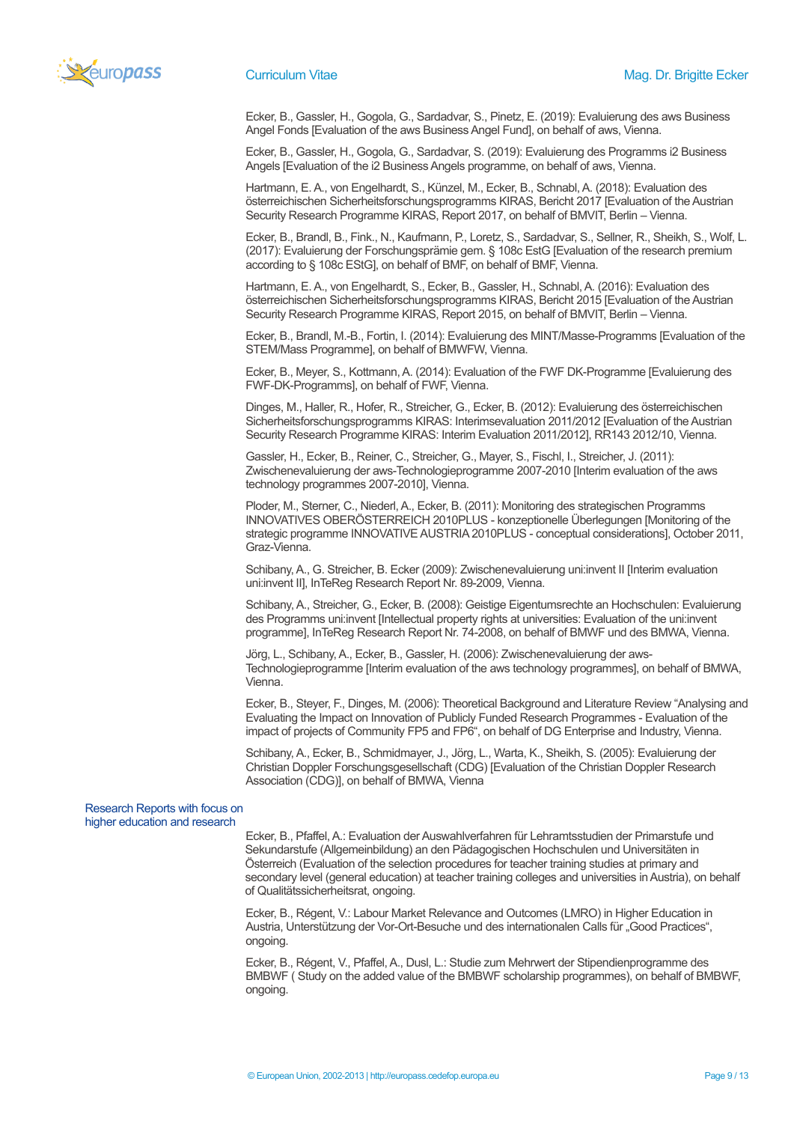

Ecker, B., Gassler, H., Gogola, G., Sardadvar, S., Pinetz, E. (2019): Evaluierung des aws Business Angel Fonds [Evaluation of the aws Business Angel Fund], on behalf of aws, Vienna.

Ecker, B., Gassler, H., Gogola, G., Sardadvar, S. (2019): Evaluierung des Programms i2 Business Angels [Evaluation of the i2 Business Angels programme, on behalf of aws, Vienna.

Hartmann, E. A., von Engelhardt, S., Künzel, M., Ecker, B., Schnabl, A. (2018): Evaluation des österreichischen Sicherheitsforschungsprogramms KIRAS, Bericht 2017 [Evaluation of the Austrian Security Research Programme KIRAS, Report 2017, on behalf of BMVIT, Berlin – Vienna.

Ecker, B., Brandl, B., Fink., N., Kaufmann, P., Loretz, S., Sardadvar, S., Sellner, R., Sheikh, S., Wolf, L. (2017): Evaluierung der Forschungsprämie gem. § 108c EstG [Evaluation of the research premium according to § 108c EStG], on behalf of BMF, on behalf of BMF, Vienna.

Hartmann, E. A., von Engelhardt, S., Ecker, B., Gassler, H., Schnabl, A. (2016): Evaluation des österreichischen Sicherheitsforschungsprogramms KIRAS, Bericht 2015 [Evaluation of the Austrian Security Research Programme KIRAS, Report 2015, on behalf of BMVIT, Berlin – Vienna.

Ecker, B., Brandl, M.-B., Fortin, I. (2014): Evaluierung des MINT/Masse-Programms [Evaluation of the STEM/Mass Programme], on behalf of BMWFW, Vienna.

Ecker, B., Meyer, S., Kottmann, A. (2014): Evaluation of the FWF DK-Programme [Evaluierung des FWF-DK-Programms], on behalf of FWF, Vienna.

Dinges, M., Haller, R., Hofer, R., Streicher, G., Ecker, B. (2012): Evaluierung des österreichischen Sicherheitsforschungsprogramms KIRAS: Interimsevaluation 2011/2012 [Evaluation of the Austrian Security Research Programme KIRAS: Interim Evaluation 2011/2012], RR143 2012/10, Vienna.

Gassler, H., Ecker, B., Reiner, C., Streicher, G., Mayer, S., Fischl, I., Streicher, J. (2011): Zwischenevaluierung der aws-Technologieprogramme 2007-2010 [Interim evaluation of the aws technology programmes 2007-2010], Vienna.

Ploder, M., Sterner, C., Niederl, A., Ecker, B. (2011): Monitoring des strategischen Programms INNOVATIVES OBERÖSTERREICH 2010PLUS - konzeptionelle Überlegungen [Monitoring of the strategic programme INNOVATIVE AUSTRIA 2010PLUS - conceptual considerations], October 2011, Graz-Vienna.

Schibany, A., G. Streicher, B. Ecker (2009): Zwischenevaluierung uni:invent II [Interim evaluation uni:invent II], InTeReg Research Report Nr. 89-2009, Vienna.

Schibany, A., Streicher, G., Ecker, B. (2008): Geistige Eigentumsrechte an Hochschulen: Evaluierung des Programms uni:invent [Intellectual property rights at universities: Evaluation of the uni:invent programme], InTeReg Research Report Nr. 74-2008, on behalf of BMWF und des BMWA, Vienna.

Jörg, L., Schibany, A., Ecker, B., Gassler, H. (2006): Zwischenevaluierung der aws-Technologieprogramme [Interim evaluation of the aws technology programmes], on behalf of BMWA, Vienna.

Ecker, B., Steyer, F., Dinges, M. (2006): Theoretical Background and Literature Review "Analysing and Evaluating the Impact on Innovation of Publicly Funded Research Programmes - Evaluation of the impact of projects of Community FP5 and FP6", on behalf of DG Enterprise and Industry, Vienna.

Schibany, A., Ecker, B., Schmidmayer, J., Jörg, L., Warta, K., Sheikh, S. (2005): Evaluierung der Christian Doppler Forschungsgesellschaft (CDG) [Evaluation of the Christian Doppler Research Association (CDG)], on behalf of BMWA, Vienna

### Research Reports with focus on higher education and research

 Ecker, B., Pfaffel, A.: Evaluation der Auswahlverfahren für Lehramtsstudien der Primarstufe und Sekundarstufe (Allgemeinbildung) an den Pädagogischen Hochschulen und Universitäten in Österreich (Evaluation of the selection procedures for teacher training studies at primary and secondary level (general education) at teacher training colleges and universities in Austria), on behalf of Qualitätssicherheitsrat, ongoing.

Ecker, B., Régent, V.: Labour Market Relevance and Outcomes (LMRO) in Higher Education in Austria, Unterstützung der Vor-Ort-Besuche und des internationalen Calls für "Good Practices", ongoing.

Ecker, B., Régent, V., Pfaffel, A., Dusl, L.: Studie zum Mehrwert der Stipendienprogramme des BMBWF ( Study on the added value of the BMBWF scholarship programmes), on behalf of BMBWF, ongoing.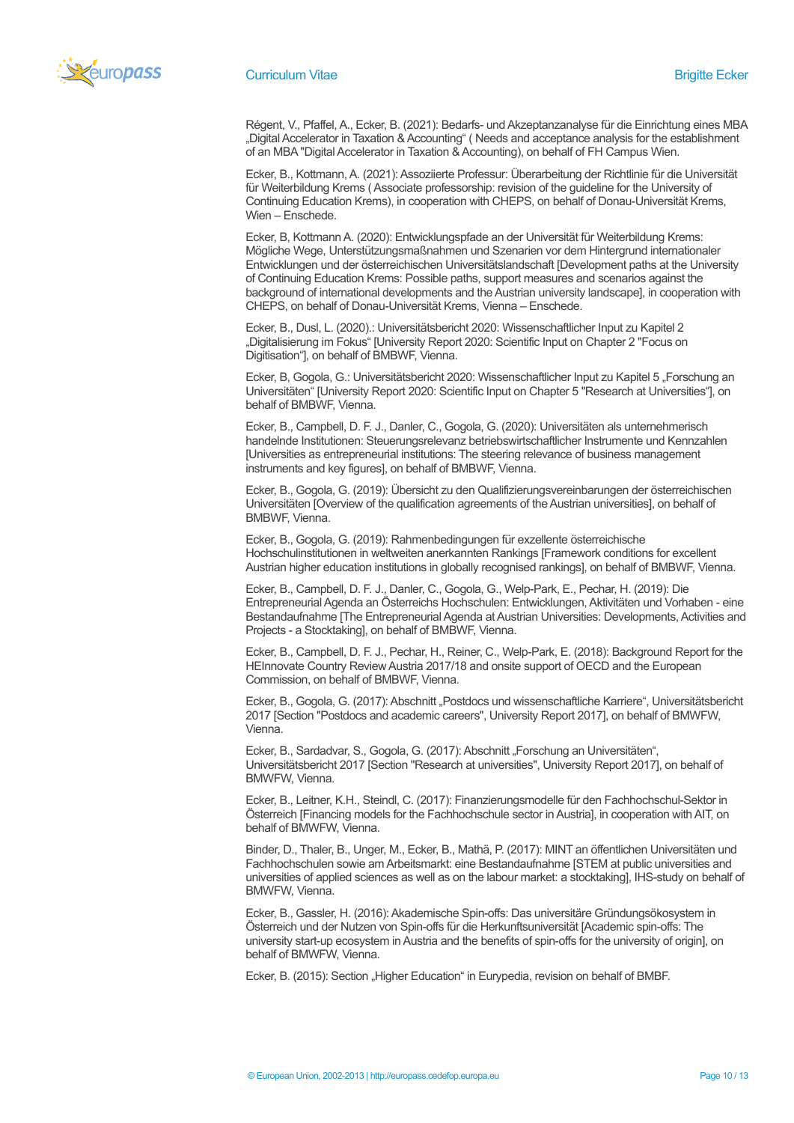

Régent, V., Pfaffel, A., Ecker, B. (2021): Bedarfs- und Akzeptanzanalyse für die Einrichtung eines MBA "Digital Accelerator in Taxation & Accounting" ( Needs and acceptance analysis for the establishment of an MBA "Digital Accelerator in Taxation & Accounting), on behalf of FH Campus Wien.

Ecker, B., Kottmann, A. (2021): Assoziierte Professur: Überarbeitung der Richtlinie für die Universität für Weiterbildung Krems ( Associate professorship: revision of the guideline for the University of Continuing Education Krems), in cooperation with CHEPS, on behalf of Donau-Universität Krems, Wien – Enschede.

Ecker, B, Kottmann A. (2020): Entwicklungspfade an der Universität für Weiterbildung Krems: Mögliche Wege, Unterstützungsmaßnahmen und Szenarien vor dem Hintergrund internationaler Entwicklungen und der österreichischen Universitätslandschaft [Development paths at the University of Continuing Education Krems: Possible paths, support measures and scenarios against the background of international developments and the Austrian university landscape], in cooperation with CHEPS, on behalf of Donau-Universität Krems, Vienna – Enschede.

Ecker, B., Dusl, L. (2020).: Universitätsbericht 2020: Wissenschaftlicher Input zu Kapitel 2 "Digitalisierung im Fokus" [University Report 2020: Scientific Input on Chapter 2 "Focus on Digitisation"], on behalf of BMBWF, Vienna.

Ecker, B, Gogola, G.: Universitätsbericht 2020: Wissenschaftlicher Input zu Kapitel 5 "Forschung an Universitäten" [University Report 2020: Scientific Input on Chapter 5 "Research at Universities"], on behalf of BMBWF, Vienna.

Ecker, B., Campbell, D. F. J., Danler, C., Gogola, G. (2020): Universitäten als unternehmerisch handelnde Institutionen: Steuerungsrelevanz betriebswirtschaftlicher Instrumente und Kennzahlen [Universities as entrepreneurial institutions: The steering relevance of business management instruments and key figures], on behalf of BMBWF, Vienna.

Ecker, B., Gogola, G. (2019): Übersicht zu den Qualifizierungsvereinbarungen der österreichischen Universitäten [Overview of the qualification agreements of the Austrian universities], on behalf of BMBWF, Vienna.

Ecker, B., Gogola, G. (2019): Rahmenbedingungen für exzellente österreichische Hochschulinstitutionen in weltweiten anerkannten Rankings [Framework conditions for excellent Austrian higher education institutions in globally recognised rankings], on behalf of BMBWF, Vienna.

Ecker, B., Campbell, D. F. J., Danler, C., Gogola, G., Welp-Park, E., Pechar, H. (2019): Die Entrepreneurial Agenda an Österreichs Hochschulen: Entwicklungen, Aktivitäten und Vorhaben - eine Bestandaufnahme [The Entrepreneurial Agenda at Austrian Universities: Developments, Activities and Projects - a Stocktaking], on behalf of BMBWF, Vienna.

Ecker, B., Campbell, D. F. J., Pechar, H., Reiner, C., Welp-Park, E. (2018): Background Report for the HEInnovate Country Review Austria 2017/18 and onsite support of OECD and the European Commission, on behalf of BMBWF, Vienna.

Ecker, B., Gogola, G. (2017): Abschnitt "Postdocs und wissenschaftliche Karriere", Universitätsbericht 2017 [Section "Postdocs and academic careers", University Report 2017], on behalf of BMWFW, Vienna.

Ecker, B., Sardadvar, S., Gogola, G. (2017): Abschnitt "Forschung an Universitäten", Universitätsbericht 2017 [Section "Research at universities", University Report 2017], on behalf of BMWFW, Vienna.

Ecker, B., Leitner, K.H., Steindl, C. (2017): Finanzierungsmodelle für den Fachhochschul-Sektor in Österreich [Financing models for the Fachhochschule sector in Austria], in cooperation with AIT, on behalf of BMWFW, Vienna.

Binder, D., Thaler, B., Unger, M., Ecker, B., Mathä, P. (2017): MINT an öffentlichen Universitäten und Fachhochschulen sowie am Arbeitsmarkt: eine Bestandaufnahme [STEM at public universities and universities of applied sciences as well as on the labour market: a stocktaking], IHS-study on behalf of BMWFW, Vienna.

Ecker, B., Gassler, H. (2016): Akademische Spin-offs: Das universitäre Gründungsökosystem in Österreich und der Nutzen von Spin-offs für die Herkunftsuniversität [Academic spin-offs: The university start-up ecosystem in Austria and the benefits of spin-offs for the university of origin], on behalf of BMWFW, Vienna.

Ecker, B. (2015): Section "Higher Education" in Eurypedia, revision on behalf of BMBF.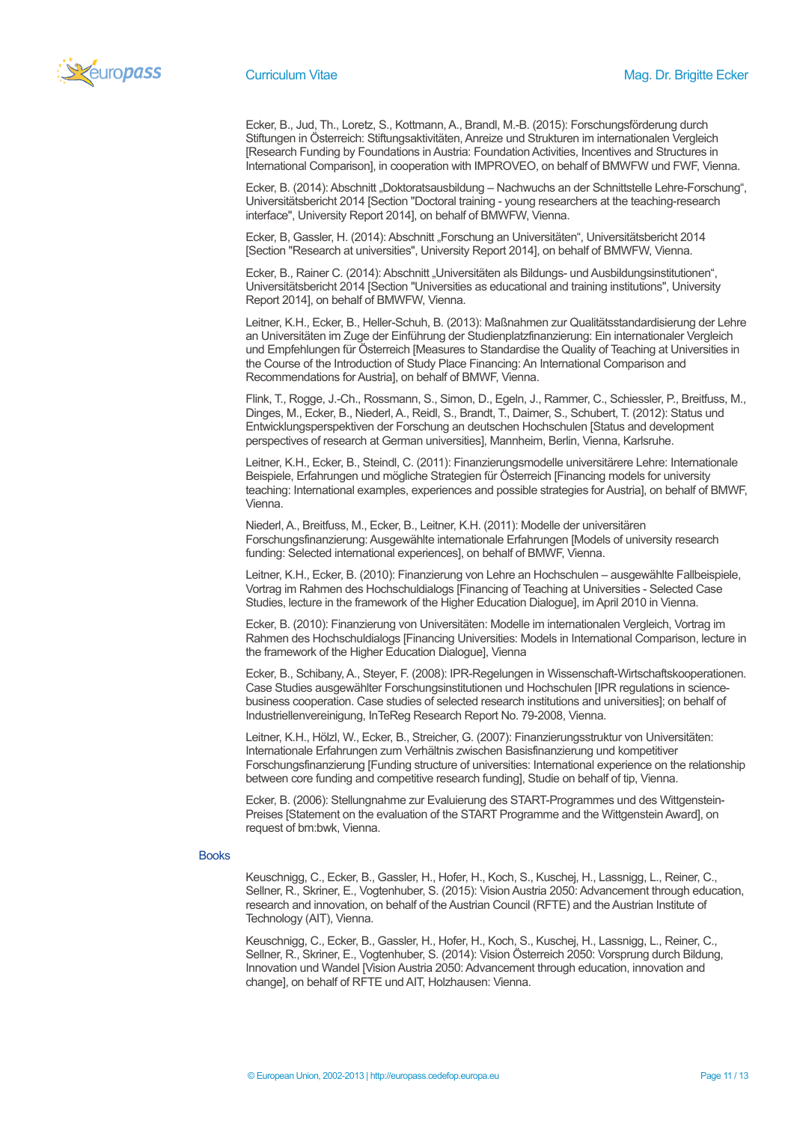

Ecker, B., Jud, Th., Loretz, S., Kottmann, A., Brandl, M.-B. (2015): Forschungsförderung durch Stiftungen in Österreich: Stiftungsaktivitäten, Anreize und Strukturen im internationalen Vergleich [Research Funding by Foundations in Austria: Foundation Activities, Incentives and Structures in International Comparison], in cooperation with IMPROVEO, on behalf of BMWFW und FWF, Vienna.

Ecker, B. (2014): Abschnitt "Doktoratsausbildung – Nachwuchs an der Schnittstelle Lehre-Forschung", Universitätsbericht 2014 [Section "Doctoral training - young researchers at the teaching-research interface", University Report 2014], on behalf of BMWFW, Vienna.

Ecker, B. Gassler, H. (2014): Abschnitt "Forschung an Universitäten", Universitätsbericht 2014 [Section "Research at universities", University Report 2014], on behalf of BMWFW, Vienna.

Ecker, B., Rainer C. (2014): Abschnitt "Universitäten als Bildungs- und Ausbildungsinstitutionen", Universitätsbericht 2014 [Section "Universities as educational and training institutions", University Report 2014], on behalf of BMWFW, Vienna.

Leitner, K.H., Ecker, B., Heller-Schuh, B. (2013): Maßnahmen zur Qualitätsstandardisierung der Lehre an Universitäten im Zuge der Einführung der Studienplatzfinanzierung: Ein internationaler Vergleich und Empfehlungen für Österreich [Measures to Standardise the Quality of Teaching at Universities in the Course of the Introduction of Study Place Financing: An International Comparison and Recommendations for Austria], on behalf of BMWF, Vienna.

Flink, T., Rogge, J.-Ch., Rossmann, S., Simon, D., Egeln, J., Rammer, C., Schiessler, P., Breitfuss, M., Dinges, M., Ecker, B., Niederl, A., Reidl, S., Brandt, T., Daimer, S., Schubert, T. (2012): Status und Entwicklungsperspektiven der Forschung an deutschen Hochschulen [Status and development perspectives of research at German universities], Mannheim, Berlin, Vienna, Karlsruhe.

Leitner, K.H., Ecker, B., Steindl, C. (2011): Finanzierungsmodelle universitärere Lehre: Internationale Beispiele, Erfahrungen und mögliche Strategien für Österreich [Financing models for university teaching: International examples, experiences and possible strategies for Austria], on behalf of BMWF, Vienna.

Niederl, A., Breitfuss, M., Ecker, B., Leitner, K.H. (2011): Modelle der universitären Forschungsfinanzierung: Ausgewählte internationale Erfahrungen [Models of university research funding: Selected international experiences], on behalf of BMWF, Vienna.

Leitner, K.H., Ecker, B. (2010): Finanzierung von Lehre an Hochschulen – ausgewählte Fallbeispiele, Vortrag im Rahmen des Hochschuldialogs [Financing of Teaching at Universities - Selected Case Studies, lecture in the framework of the Higher Education Dialogue], im April 2010 in Vienna.

Ecker, B. (2010): Finanzierung von Universitäten: Modelle im internationalen Vergleich, Vortrag im Rahmen des Hochschuldialogs [Financing Universities: Models in International Comparison, lecture in the framework of the Higher Education Dialogue], Vienna

Ecker, B., Schibany, A., Steyer, F. (2008): IPR-Regelungen in Wissenschaft-Wirtschaftskooperationen. Case Studies ausgewählter Forschungsinstitutionen und Hochschulen [IPR regulations in sciencebusiness cooperation. Case studies of selected research institutions and universities]; on behalf of Industriellenvereinigung, InTeReg Research Report No. 79-2008, Vienna.

Leitner, K.H., Hölzl, W., Ecker, B., Streicher, G. (2007): Finanzierungsstruktur von Universitäten: Internationale Erfahrungen zum Verhältnis zwischen Basisfinanzierung und kompetitiver Forschungsfinanzierung [Funding structure of universities: International experience on the relationship between core funding and competitive research funding], Studie on behalf of tip, Vienna.

Ecker, B. (2006): Stellungnahme zur Evaluierung des START-Programmes und des Wittgenstein-Preises [Statement on the evaluation of the START Programme and the Wittgenstein Award], on request of bm:bwk, Vienna.

### Books

Keuschnigg, C., Ecker, B., Gassler, H., Hofer, H., Koch, S., Kuschej, H., Lassnigg, L., Reiner, C., Sellner, R., Skriner, E., Vogtenhuber, S. (2015): Vision Austria 2050: Advancement through education, research and innovation, on behalf of the Austrian Council (RFTE) and the Austrian Institute of Technology (AIT), Vienna.

Keuschnigg, C., Ecker, B., Gassler, H., Hofer, H., Koch, S., Kuschej, H., Lassnigg, L., Reiner, C., Sellner, R., Skriner, E., Vogtenhuber, S. (2014): Vision Österreich 2050: Vorsprung durch Bildung, Innovation und Wandel [Vision Austria 2050: Advancement through education, innovation and change], on behalf of RFTE und AIT, Holzhausen: Vienna.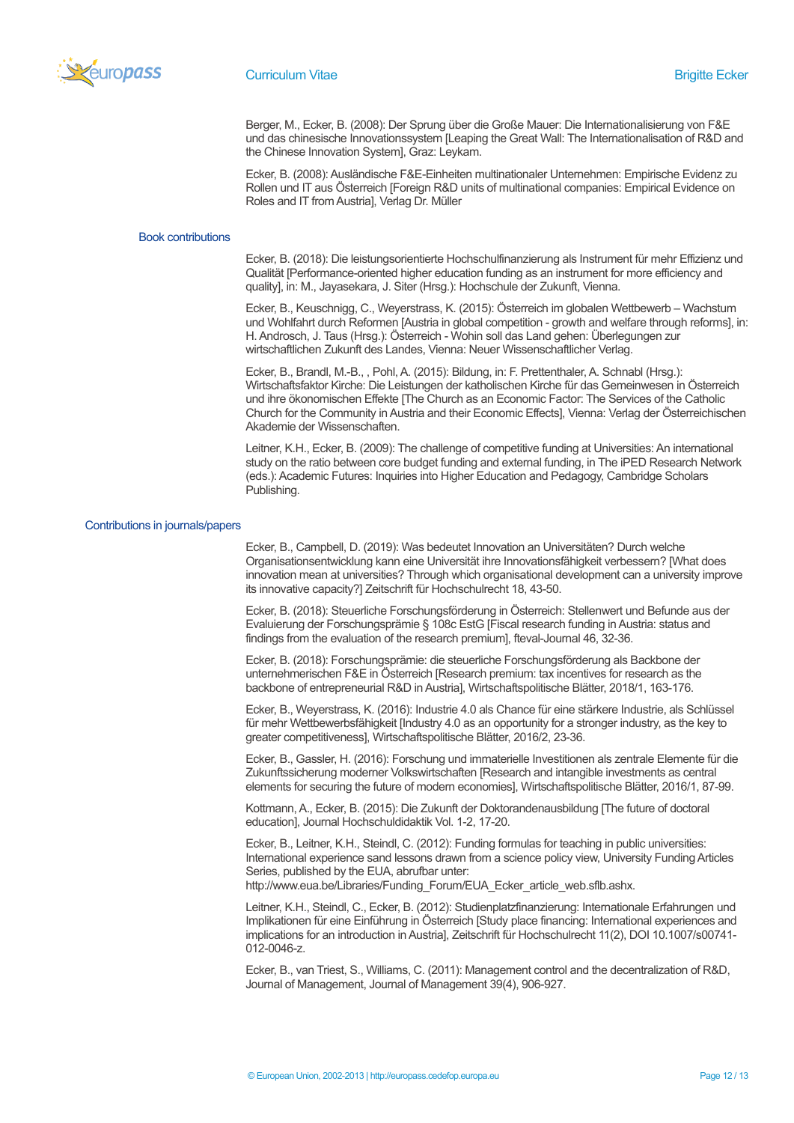

Berger, M., Ecker, B. (2008): Der Sprung über die Große Mauer: Die Internationalisierung von F&E und das chinesische Innovationssystem [Leaping the Great Wall: The Internationalisation of R&D and the Chinese Innovation System], Graz: Leykam.

Ecker, B. (2008): Ausländische F&E-Einheiten multinationaler Unternehmen: Empirische Evidenz zu Rollen und IT aus Österreich [Foreign R&D units of multinational companies: Empirical Evidence on Roles and IT from Austria], Verlag Dr. Müller

### Book contributions

Ecker, B. (2018): Die leistungsorientierte Hochschulfinanzierung als Instrument für mehr Effizienz und Qualität [Performance-oriented higher education funding as an instrument for more efficiency and quality], in: M., Jayasekara, J. Siter (Hrsg.): Hochschule der Zukunft, Vienna.

Ecker, B., Keuschnigg, C., Weyerstrass, K. (2015): Österreich im globalen Wettbewerb – Wachstum und Wohlfahrt durch Reformen [Austria in global competition - growth and welfare through reforms], in: H. Androsch, J. Taus (Hrsg.): Österreich - Wohin soll das Land gehen: Überlegungen zur wirtschaftlichen Zukunft des Landes, Vienna: Neuer Wissenschaftlicher Verlag.

Ecker, B., Brandl, M.-B., , Pohl, A. (2015): Bildung, in: F. Prettenthaler, A. Schnabl (Hrsg.): Wirtschaftsfaktor Kirche: Die Leistungen der katholischen Kirche für das Gemeinwesen in Österreich und ihre ökonomischen Effekte [The Church as an Economic Factor: The Services of the Catholic Church for the Community in Austria and their Economic Effects], Vienna: Verlag der Österreichischen Akademie der Wissenschaften.

Leitner, K.H., Ecker, B. (2009): The challenge of competitive funding at Universities: An international study on the ratio between core budget funding and external funding, in The iPED Research Network (eds.): Academic Futures: Inquiries into Higher Education and Pedagogy, Cambridge Scholars Publishing.

#### Contributions in journals/papers

Ecker, B., Campbell, D. (2019): Was bedeutet Innovation an Universitäten? Durch welche Organisationsentwicklung kann eine Universität ihre Innovationsfähigkeit verbessern? [What does innovation mean at universities? Through which organisational development can a university improve its innovative capacity?] Zeitschrift für Hochschulrecht 18, 43-50.

Ecker, B. (2018): Steuerliche Forschungsförderung in Österreich: Stellenwert und Befunde aus der Evaluierung der Forschungsprämie § 108c EstG [Fiscal research funding in Austria: status and findings from the evaluation of the research premium], fteval-Journal 46, 32-36.

Ecker, B. (2018): Forschungsprämie: die steuerliche Forschungsförderung als Backbone der unternehmerischen F&E in Österreich [Research premium: tax incentives for research as the backbone of entrepreneurial R&D in Austria], Wirtschaftspolitische Blätter, 2018/1, 163-176.

Ecker, B., Weyerstrass, K. (2016): Industrie 4.0 als Chance für eine stärkere Industrie, als Schlüssel für mehr Wettbewerbsfähigkeit [Industry 4.0 as an opportunity for a stronger industry, as the key to greater competitiveness], Wirtschaftspolitische Blätter, 2016/2, 23-36.

Ecker, B., Gassler, H. (2016): Forschung und immaterielle Investitionen als zentrale Elemente für die Zukunftssicherung moderner Volkswirtschaften [Research and intangible investments as central elements for securing the future of modern economies], Wirtschaftspolitische Blätter, 2016/1, 87-99.

Kottmann, A., Ecker, B. (2015): Die Zukunft der Doktorandenausbildung [The future of doctoral education], Journal Hochschuldidaktik Vol. 1-2, 17-20.

Ecker, B., Leitner, K.H., Steindl, C. (2012): Funding formulas for teaching in public universities: International experience sand lessons drawn from a science policy view, University Funding Articles Series, published by the EUA, abrufbar unter:

http://www.eua.be/Libraries/Funding\_Forum/EUA\_Ecker\_article\_web.sflb.ashx.

Leitner, K.H., Steindl, C., Ecker, B. (2012): Studienplatzfinanzierung: Internationale Erfahrungen und Implikationen für eine Einführung in Österreich [Study place financing: International experiences and implications for an introduction in Austria], Zeitschrift für Hochschulrecht 11(2), DOI 10.1007/s00741- 012-0046-z.

Ecker, B., van Triest, S., Williams, C. (2011): Management control and the decentralization of R&D, Journal of Management, Journal of Management 39(4), 906-927.